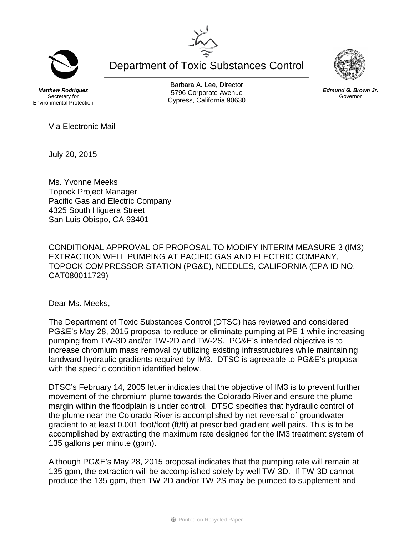Department of Toxic Substances Control

*Matthew Rodriquez* Secretary for Environmental Protection

Barbara A. Lee, Director 5796 Corporate Avenue Cypress, California 90630



Via Electronic Mail

July 20, 2015

Ms. Yvonne Meeks Topock Project Manager Pacific Gas and Electric Company 4325 South Higuera Street San Luis Obispo, CA 93401

CONDITIONAL APPROVAL OF PROPOSAL TO MODIFY INTERIM MEASURE 3 (IM3) EXTRACTION WELL PUMPING AT PACIFIC GAS AND ELECTRIC COMPANY, TOPOCK COMPRESSOR STATION (PG&E), NEEDLES, CALIFORNIA (EPA ID NO. CAT080011729)

Dear Ms. Meeks,

The Department of Toxic Substances Control (DTSC) has reviewed and considered PG&E's May 28, 2015 proposal to reduce or eliminate pumping at PE-1 while increasing pumping from TW-3D and/or TW-2D and TW-2S. PG&E's intended objective is to increase chromium mass removal by utilizing existing infrastructures while maintaining landward hydraulic gradients required by IM3. DTSC is agreeable to PG&E's proposal with the specific condition identified below.

DTSC's February 14, 2005 letter indicates that the objective of IM3 is to prevent further movement of the chromium plume towards the Colorado River and ensure the plume margin within the floodplain is under control. DTSC specifies that hydraulic control of the plume near the Colorado River is accomplished by net reversal of groundwater gradient to at least 0.001 foot/foot (ft/ft) at prescribed gradient well pairs. This is to be accomplished by extracting the maximum rate designed for the IM3 treatment system of 135 gallons per minute (gpm).

Although PG&E's May 28, 2015 proposal indicates that the pumping rate will remain at 135 gpm, the extraction will be accomplished solely by well TW-3D. If TW-3D cannot produce the 135 gpm, then TW-2D and/or TW-2S may be pumped to supplement and